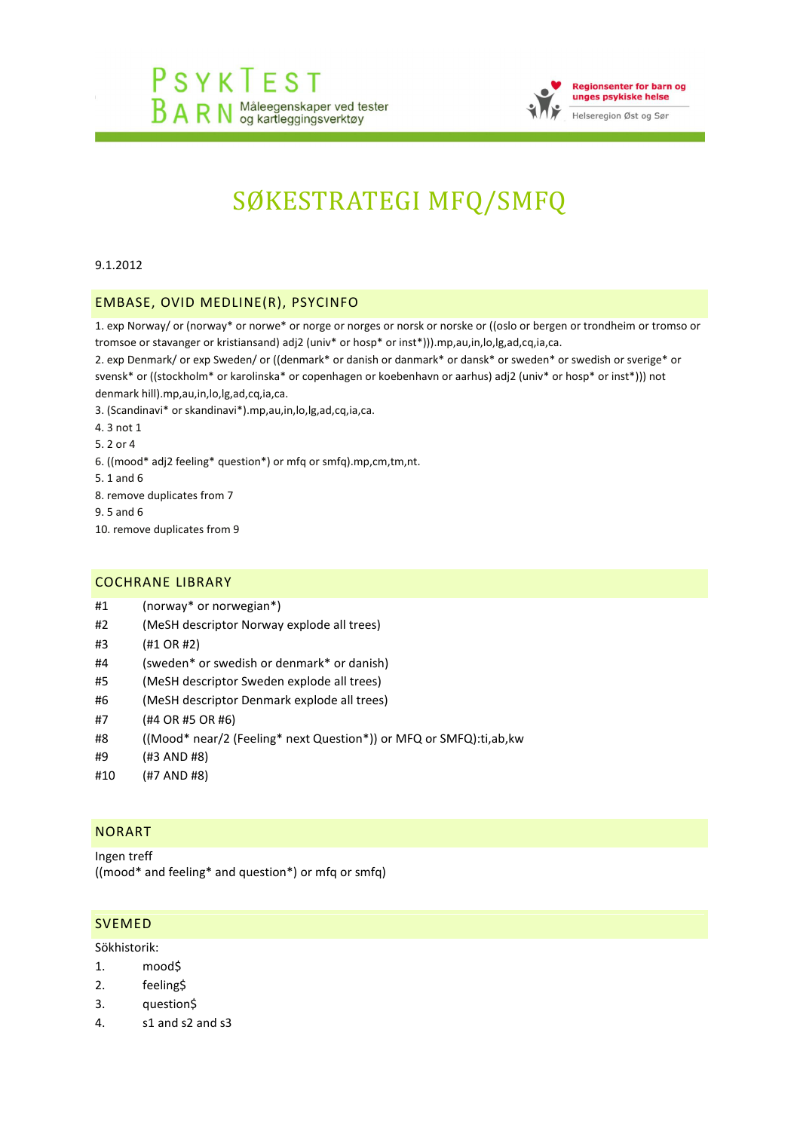

# SØKESTRATEGI MFQ/SMFQ

9.1.2012

### EMBASE, OVID MEDLINE(R), PSYCINFO

1. exp Norway/ or (norway\* or norwe\* or norge or norges or norsk or norske or ((oslo or bergen or trondheim or tromso or tromsoe or stavanger or kristiansand) adj2 (univ\* or hosp\* or inst\*))).mp,au,in,lo,lg,ad,cq,ia,ca.

2. exp Denmark/ or exp Sweden/ or ((denmark\* or danish or danmark\* or dansk\* or sweden\* or swedish or sverige\* or svensk\* or ((stockholm\* or karolinska\* or copenhagen or koebenhavn or aarhus) adj2 (univ\* or hosp\* or inst\*))) not denmark hill).mp,au,in,lo,lg,ad,cq,ia,ca.

3. (Scandinavi\* or skandinavi\*).mp,au,in,lo,lg,ad,cq,ia,ca.

4. 3 not 1

5. 2 or 4

- 6. ((mood\* adj2 feeling\* question\*) or mfq or smfq).mp,cm,tm,nt.
- 5. 1 and 6

8. remove duplicates from 7

- 9. 5 and 6
- 10. remove duplicates from 9

#### COCHRANE LIBRARY

- #1 (norway\* or [norwegian\\*\)](http://onlinelibrary.wiley.com/o/cochrane/searchHistory?mode=runquery&qnum=1)
- #2 (MeSH [descriptor](http://onlinelibrary.wiley.com/o/cochrane/searchHistory?mode=runquery&qnum=2) Norway explode all trees)
- #3 (#1 OR [#2\)](http://onlinelibrary.wiley.com/o/cochrane/searchHistory?mode=runquery&qnum=3)
- #4 (sweden\* or swedish or [denmark\\*](http://onlinelibrary.wiley.com/o/cochrane/searchHistory?mode=runquery&qnum=4) or danish)
- #5 (MeSH [descriptor](http://onlinelibrary.wiley.com/o/cochrane/searchHistory?mode=runquery&qnum=5) Sweden explode all trees)
- #6 (MeSH [descriptor](http://onlinelibrary.wiley.com/o/cochrane/searchHistory?mode=runquery&qnum=6) Denmark explode all trees)
- #7 (#4 OR #5 OR [#6\)](http://onlinelibrary.wiley.com/o/cochrane/searchHistory?mode=runquery&qnum=7)
- #8 ((Mood\* near/2 (Feeling\* next Question\*)) or MFQ or [SMFQ\):ti,ab,kw](http://onlinelibrary.wiley.com/o/cochrane/searchHistory?mode=runquery&qnum=8)
- #9 (#3 [AND](http://onlinelibrary.wiley.com/o/cochrane/searchHistory?mode=runquery&qnum=9) #8)
- #10 (#7 [AND](http://onlinelibrary.wiley.com/o/cochrane/searchHistory?mode=runquery&qnum=10) #8)

#### NORART

Ingen treff ((mood\* and feeling\* and question\*) or mfq or smfq)

#### SVEMED

Sökhistorik:

- 1. mood\$
- 2. feeling\$
- 3. question\$
- 4. s1 and s2 and s3